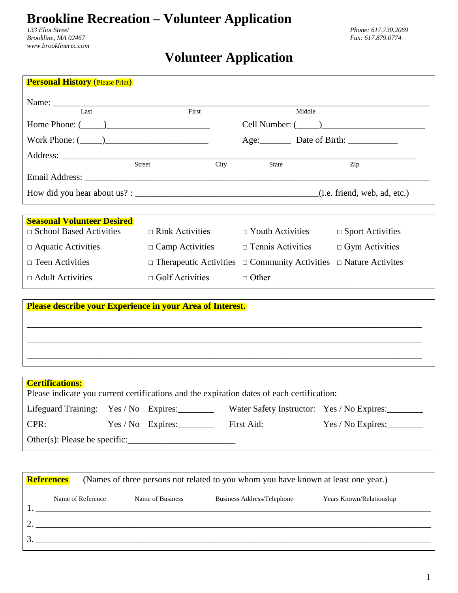## **Brookline Recreation – Volunteer Application**

*Brookline, MA 02467 Fax: 617.879.0774 www.brooklinerec.com*

## **Volunteer Application**

| First                  | Middle                                   |                                                                                                                                                                         |
|------------------------|------------------------------------------|-------------------------------------------------------------------------------------------------------------------------------------------------------------------------|
| Home Phone: $(\_\_)$   |                                          |                                                                                                                                                                         |
| Work Phone: $(\_\_)$   |                                          |                                                                                                                                                                         |
|                        |                                          |                                                                                                                                                                         |
|                        |                                          | Zip                                                                                                                                                                     |
|                        |                                          |                                                                                                                                                                         |
|                        |                                          |                                                                                                                                                                         |
|                        |                                          |                                                                                                                                                                         |
|                        |                                          |                                                                                                                                                                         |
|                        | $\Box$ Youth Activities                  | $\Box$ Sport Activities                                                                                                                                                 |
|                        | $\Box$ Tennis Activities                 | $\Box$ Gym Activities                                                                                                                                                   |
|                        |                                          | $\Box$ Nature Activites                                                                                                                                                 |
| $\Box$ Golf Activities | $\Box$ Other                             |                                                                                                                                                                         |
|                        |                                          |                                                                                                                                                                         |
|                        |                                          |                                                                                                                                                                         |
|                        |                                          |                                                                                                                                                                         |
|                        |                                          |                                                                                                                                                                         |
|                        |                                          |                                                                                                                                                                         |
|                        |                                          |                                                                                                                                                                         |
|                        | Street<br>City<br>$\Box$ Rink Activities | <b>State</b><br>$\Box$ Camp Activities<br>$\Box$ Therapeutic Activities $\Box$ Community Activities<br><b>Please describe your Experience in your Area of Interest.</b> |

## **Certifications:**

| <b>Columnations.</b>                                                                       |  |                     |            |                                            |  |
|--------------------------------------------------------------------------------------------|--|---------------------|------------|--------------------------------------------|--|
| Please indicate you current certifications and the expiration dates of each certification: |  |                     |            |                                            |  |
| Lifeguard Training: Yes / No Expires:                                                      |  |                     |            | Water Safety Instructor: Yes / No Expires: |  |
| CPR:                                                                                       |  | $Yes / No$ Expires: | First Aid: |                                            |  |
| Other(s): Please be specific:                                                              |  |                     |            |                                            |  |

| (Names of three persons not related to you whom you have known at least one year.)<br><b>References</b> |                   |                  |                            |                          |
|---------------------------------------------------------------------------------------------------------|-------------------|------------------|----------------------------|--------------------------|
|                                                                                                         | Name of Reference | Name of Business | Business Address/Telephone | Years Known/Relationship |
|                                                                                                         |                   |                  |                            |                          |
|                                                                                                         |                   |                  |                            |                          |